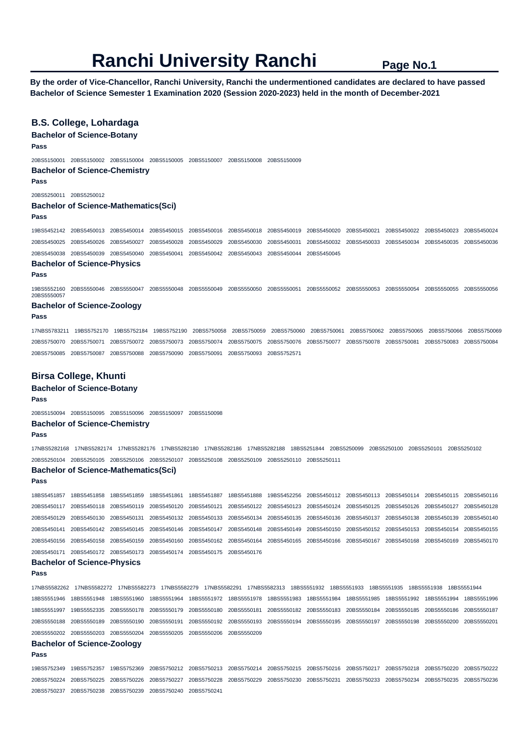**By the order of Vice-Chancellor, Ranchi University, Ranchi the undermentioned candidates are declared to have passed Bachelor of Science Semester 1 Examination 2020 (Session 2020-2023) held in the month of December-2021** 

## **B.S. College, Lohardaga**

**Bachelor of Science-Botany** 

**Pass** 

20BS5150001 20BS5150002 20BS5150004 20BS5150005 20BS5150007 20BS5150008 20BS5150009

**Bachelor of Science-Chemistry** 

**Pass** 

20BS5250011 20BS5250012

### **Bachelor of Science-Mathematics(Sci)**

#### **Pass**

19BS5452142 20BS5450013 20BS5450014 20BS5450015 20BS5450016 20BS5450018 20BS5450019 20BS5450020 20BS5450021 20BS5450022 20BS5450023 20BS5450024 20BS5450025 20BS5450026 20BS5450027 20BS5450028 20BS5450029 20BS5450030 20BS5450031 20BS5450032 20BS5450033 20BS5450034 20BS5450035 20BS5450036 20BS5450038 20BS5450039 20BS5450040 20BS5450041 20BS5450042 20BS5450043 20BS5450044 20BS5450045

## **Bachelor of Science-Physics**

**Pass** 

19BS5552160 20BS5550046 20BS5550047 20BS5550048 20BS5550049 20BS5550050 20BS5550051 20BS5550052 20BS5550053 20BS5550054 20BS5550055 20BS5550056 20BS5550057

### **Bachelor of Science-Zoology**

**Pass** 

17NBS5783211 19BS5752170 19BS5752184 19BS5752190 20BS5750058 20BS5750059 20BS5750060 20BS5750061 20BS5750062 20BS5750065 20BS5750066 20BS5750069 20BS5750070 20BS5750071 20BS5750072 20BS5750073 20BS5750074 20BS5750075 20BS5750076 20BS5750077 20BS5750078 20BS5750081 20BS5750083 20BS5750084 20BS5750085 20BS5750087 20BS5750088 20BS5750090 20BS5750091 20BS5750093 20BS5752571

### **Birsa College, Khunti**

# **Bachelor of Science-Botany Pass**

20BS5150094 20BS5150095 20BS5150096 20BS5150097 20BS5150098

# **Bachelor of Science-Chemistry**

## **Pass**

17NBS5282168 17NBS5282174 17NBS5282176 17NBS5282180 17NBS5282186 17NBS5282188 18BS5251844 20BS5250099 20BS5250100 20BS5250101 20BS5250102 20BS5250104 20BS5250105 20BS5250106 20BS5250107 20BS5250108 20BS5250109 20BS5250110 20BS5250111

# **Bachelor of Science-Mathematics(Sci)**

**Pass** 

18BS5451857 18BS5451858 18BS5451859 18BS5451861 18BS5451887 18BS5451888 19BS5452256 20BS5450112 20BS5450113 20BS5450114 20BS5450115 20BS5450116 20BS5450117 20BS5450118 20BS5450119 20BS5450120 20BS5450121 20BS5450122 20BS5450123 20BS5450124 20BS5450125 20BS5450126 20BS5450127 20BS5450128 20BS5450129 20BS5450130 20BS5450131 20BS5450132 20BS5450133 20BS5450134 20BS5450135 20BS5450136 20BS5450137 20BS5450138 20BS5450139 20BS5450140 20BS5450141 20BS5450142 20BS5450145 20BS5450146 20BS5450147 20BS5450148 20BS5450149 20BS5450150 20BS5450152 20BS5450153 20BS5450154 20BS5450155 20BS5450156 20BS5450158 20BS5450159 20BS5450160 20BS5450162 20BS5450164 20BS5450165 20BS5450166 20BS5450167 20BS5450168 20BS5450169 20BS5450170 20BS5450171 20BS5450172 20BS5450173 20BS5450174 20BS5450175 20BS5450176

# **Bachelor of Science-Physics**

**Pass** 

17NBS5582262 17NBS5582272 17NBS5582273 17NBS5582279 17NBS5582291 17NBS5582313 18BS5551932 18BS5551933 18BS5551935 18BS5551938 18BS5551944 18BS5551946 18BS5551948 18BS5551960 18BS5551964 18BS5551972 18BS5551978 18BS5551983 18BS5551984 18BS5551985 18BS5551992 18BS5551994 18BS5551996 18BS5551997 19BS5552335 20BS5550178 20BS5550179 20BS5550180 20BS5550181 20BS5550182 20BS5550183 20BS5550184 20BS5550185 20BS5550186 20BS5550187 20BS5550188 20BS5550189 20BS5550190 20BS5550191 20BS5550192 20BS5550193 20BS5550194 20BS5550195 20BS5550197 20BS5550198 20BS5550200 20BS5550201 20BS5550202 20BS5550203 20BS5550204 20BS5550205 20BS5550206 20BS5550209

# **Bachelor of Science-Zoology**

**Pass** 

19BS5752349 19BS5752357 19BS5752369 20BS5750212 20BS5750213 20BS5750214 20BS5750215 20BS5750216 20BS5750217 20BS5750218 20BS5750220 20BS5750222 20BS5750224 20BS5750225 20BS5750226 20BS5750227 20BS5750228 20BS5750229 20BS5750230 20BS5750231 20BS5750233 20BS5750234 20BS5750235 20BS5750236 20BS5750237 20BS5750238 20BS5750239 20BS5750240 20BS5750241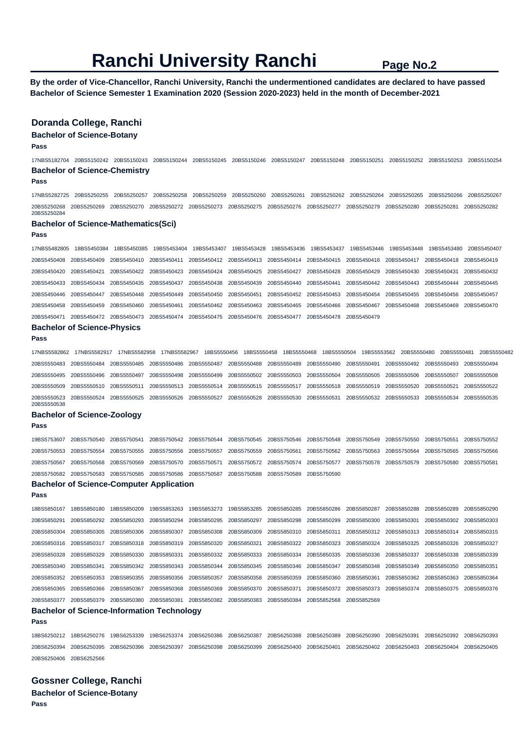**By the order of Vice-Chancellor, Ranchi University, Ranchi the undermentioned candidates are declared to have passed Bachelor of Science Semester 1 Examination 2020 (Session 2020-2023) held in the month of December-2021** 

## **Doranda College, Ranchi**

## **Bachelor of Science-Botany**

**Pass** 

17NBS5182704 20BS5150242 20BS5150243 20BS5150244 20BS5150245 20BS5150246 20BS5150247 20BS5150248 20BS5150251 20BS5150252 20BS5150253 20BS5150254 **Bachelor of Science-Chemistry** 

## **Pass**

17NBS5282725 20BS5250255 20BS5250257 20BS5250258 20BS5250259 20BS5250260 20BS5250261 20BS5250262 20BS5250264 20BS5250265 20BS5250266 20BS5250267 20BS5250268 20BS5250269 20BS5250270 20BS5250272 20BS5250273 20BS5250275 20BS5250276 20BS5250277 20BS5250279 20BS5250280 20BS5250281 20BS5250282 20BS5250284

### **Bachelor of Science-Mathematics(Sci)**

**Pass** 

17NBS5482805 18BS5450384 18BS5450385 19BS5453404 19BS5453407 19BS5453428 19BS5453436 19BS5453437 19BS5453446 19BS5453448 19BS5453480 20BS5450407 20BS5450408 20BS5450409 20BS5450410 20BS5450411 20BS5450412 20BS5450413 20BS5450414 20BS5450415 20BS5450416 20BS5450417 20BS5450418 20BS5450419 20BS5450420 20BS5450421 20BS5450422 20BS5450423 20BS5450424 20BS5450425 20BS5450427 20BS5450428 20BS5450429 20BS5450430 20BS5450431 20BS5450432 20BS5450433 20BS5450434 20BS5450435 20BS5450437 20BS5450438 20BS5450439 20BS5450440 20BS5450441 20BS5450442 20BS5450443 20BS5450444 20BS5450445 20BS5450446 20BS5450447 20BS5450448 20BS5450449 20BS5450450 20BS5450451 20BS5450452 20BS5450453 20BS5450454 20BS5450455 20BS5450456 20BS5450457 20BS5450458 20BS5450459 20BS5450460 20BS5450461 20BS5450462 20BS5450463 20BS5450465 20BS5450466 20BS5450467 20BS5450468 20BS5450469 20BS5450470 20BS5450471 20BS5450472 20BS5450473 20BS5450474 20BS5450475 20BS5450476 20BS5450477 20BS5450478 20BS5450479

# **Bachelor of Science-Physics**

**Pass** 

17NBS5582862 17NBS5582917 17NBS5582958 17NBS5582967 18BS5550456 18BS5550458 18BS5550468 18BS5550504 19BS5553562 20BS5550480 20BS5550481 20BS5550482 20BS5550483 20BS5550484 20BS5550485 20BS5550486 20BS5550487 20BS5550488 20BS5550489 20BS5550490 20BS5550491 20BS5550492 20BS5550493 20BS5550494 20BS5550495 20BS5550496 20BS5550497 20BS5550498 20BS5550499 20BS5550502 20BS5550503 20BS5550504 20BS5550505 20BS5550506 20BS5550507 20BS5550508 20BS5550509 20BS5550510 20BS5550511 20BS5550513 20BS5550514 20BS5550515 20BS5550517 20BS5550518 20BS5550519 20BS5550520 20BS5550521 20BS5550522 20BS5550523 20BS5550524 20BS5550525 20BS5550526 20BS5550527 20BS5550528 20BS5550530 20BS5550531 20BS5550532 20BS5550533 20BS5550534 20BS5550535 20BS5550538

### **Bachelor of Science-Zoology**

### **Pass**

19BS5753607 20BS5750540 20BS5750541 20BS5750542 20BS5750544 20BS5750545 20BS5750546 20BS5750548 20BS5750549 20BS5750550 20BS5750551 20BS5750552 20BS5750553 20BS5750554 20BS5750555 20BS5750556 20BS5750557 20BS5750559 20BS5750561 20BS5750562 20BS5750563 20BS5750564 20BS5750565 20BS5750566 20BS5750567 20BS5750568 20BS5750569 20BS5750570 20BS5750571 20BS5750572 20BS5750574 20BS5750577 20BS5750578 20BS5750579 20BS5750580 20BS5750581 20BS5750582 20BS5750583 20BS5750585 20BS5750586 20BS5750587 20BS5750588 20BS5750589 20BS5750590

# **Bachelor of Science-Computer Application**

### **Pass**

**Pass** 

18BS5850167 18BS5850180 18BS5850209 19BS5853263 19BS5853273 19BS5853285 20BS5850285 20BS5850286 20BS5850287 20BS5850288 20BS5850289 20BS5850290 20BS5850291 20BS5850292 20BS5850293 20BS5850294 20BS5850295 20BS5850297 20BS5850298 20BS5850299 20BS5850300 20BS5850301 20BS5850302 20BS5850303 20BS5850304 20BS5850305 20BS5850306 20BS5850307 20BS5850308 20BS5850309 20BS5850310 20BS5850311 20BS5850312 20BS5850313 20BS5850314 20BS5850315 20BS5850316 20BS5850317 20BS5850318 20BS5850319 20BS5850320 20BS5850321 20BS5850322 20BS5850323 20BS5850324 20BS5850325 20BS5850326 20BS5850327 20BS5850328 20BS5850329 20BS5850330 20BS5850331 20BS5850332 20BS5850333 20BS5850334 20BS5850335 20BS5850336 20BS5850337 20BS5850338 20BS5850339 20BS5850340 20BS5850341 20BS5850342 20BS5850343 20BS5850344 20BS5850345 20BS5850346 20BS5850347 20BS5850348 20BS5850349 20BS5850350 20BS5850351 20BS5850352 20BS5850353 20BS5850355 20BS5850356 20BS5850357 20BS5850358 20BS5850359 20BS5850360 20BS5850361 20BS5850362 20BS5850363 20BS5850364 20BS5850365 20BS5850366 20BS5850367 20BS5850368 20BS5850369 20BS5850370 20BS5850371 20BS5850372 20BS5850373 20BS5850374 20BS5850375 20BS5850376 20BS5850377 20BS5850379 20BS5850380 20BS5850381 20BS5850382 20BS5850383 20BS5850384 20BS5852568 20BS5852569

# **Bachelor of Science-Information Technology**

18BS6250212 18BS6250276 19BS6253339 19BS6253374 20BS6250386 20BS6250387 20BS6250388 20BS6250389 20BS6250390 20BS6250391 20BS6250392 20BS6250393 20BS6250394 20BS6250395 20BS6250396 20BS6250397 20BS6250398 20BS6250399 20BS6250400 20BS6250401 20BS6250402 20BS6250403 20BS6250404 20BS6250405 20BS6250406 20BS6252566

**Gossner College, Ranchi Bachelor of Science-Botany Pass**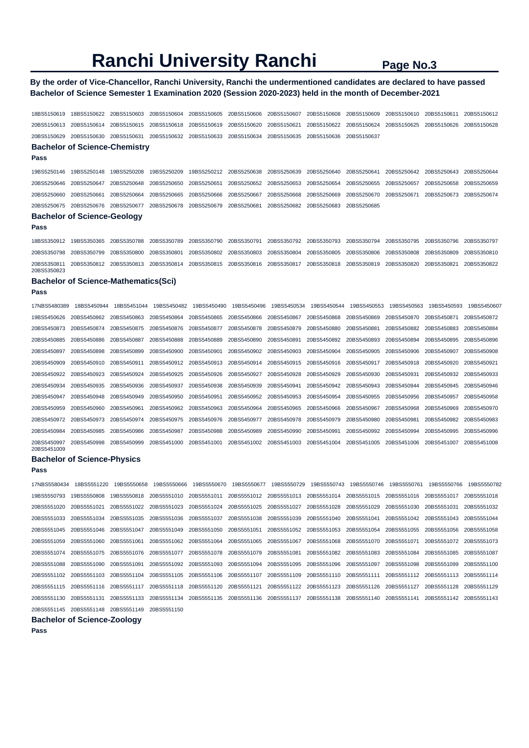## **By the order of Vice-Chancellor, Ranchi University, Ranchi the undermentioned candidates are declared to have passed Bachelor of Science Semester 1 Examination 2020 (Session 2020-2023) held in the month of December-2021**

18BS5150619 18BS5150622 20BS5150603 20BS5150604 20BS5150605 20BS5150606 20BS5150607 20BS5150608 20BS5150609 20BS5150610 20BS5150611 20BS5150612 20BS5150613 20BS5150614 20BS5150615 20BS5150618 20BS5150619 20BS5150620 20BS5150621 20BS5150622 20BS5150624 20BS5150625 20BS5150626 20BS5150628 20BS5150629 20BS5150630 20BS5150631 20BS5150632 20BS5150633 20BS5150634 20BS5150635 20BS5150636 20BS5150637 **Bachelor of Science-Chemistry Pass**  19BS5250146 19BS5250148 19BS5250208 19BS5250209 19BS5250212 20BS5250638 20BS5250639 20BS5250640 20BS5250641 20BS5250642 20BS5250643 20BS5250644 20BS5250646 20BS5250647 20BS5250648 20BS5250650 20BS5250651 20BS5250652 20BS5250653 20BS5250654 20BS5250655 20BS5250657 20BS5250658 20BS5250659 20BS5250660 20BS5250661 20BS5250664 20BS5250665 20BS5250666 20BS5250667 20BS5250668 20BS5250669 20BS5250670 20BS5250671 20BS5250673 20BS5250674 20BS5250675 20BS5250676 20BS5250677 20BS5250678 20BS5250679 20BS5250681 20BS5250682 20BS5250683 20BS5250685 **Bachelor of Science-Geology Pass**  18BS5350912 19BS5350365 20BS5350788 20BS5350789 20BS5350790 20BS5350791 20BS5350792 20BS5350793 20BS5350794 20BS5350795 20BS5350796 20BS5350797 20BS5350798 20BS5350799 20BS5350800 20BS5350801 20BS5350802 20BS5350803 20BS5350804 20BS5350805 20BS5350806 20BS5350808 20BS5350809 20BS5350810 20BS5350811 20BS5350812 20BS5350813 20BS5350814 20BS5350815 20BS5350816 20BS5350817 20BS5350818 20BS5350819 20BS5350820 20BS5350821 20BS5350822 20BS5350823 **Bachelor of Science-Mathematics(Sci) Pass**  19BS5450626 20BS5450862 20BS5450863 20BS5450864 20BS5450865 20BS5450866 20BS5450867 20BS5450868 20BS5450869 20BS5450870 20BS5450871 20BS5450872 20BS5450873 20BS5450874 20BS5450875 20BS5450876 20BS5450877 20BS5450878 20BS5450879 20BS5450880 20BS5450881 20BS5450882 20BS5450883 20BS5450884 20BS5450885 20BS5450886 20BS5450887 20BS5450888 20BS5450889 20BS5450890 20BS5450891 20BS5450892 20BS5450893 20BS5450894 20BS5450895 20BS5450896 20BS5450897 20BS5450898 20BS5450899 20BS5450900 20BS5450901 20BS5450902 20BS5450903 20BS5450904 20BS5450905 20BS5450906 20BS5450907 20BS5450908 20BS5450909 20BS5450910 20BS5450911 20BS5450912 20BS5450913 20BS5450914 20BS5450915 20BS5450916 20BS5450917 20BS5450918 20BS5450920 20BS5450921 20BS5450922 20BS5450923 20BS5450924 20BS5450925 20BS5450926 20BS5450927 20BS5450928 20BS5450929 20BS5450930 20BS5450931 20BS5450932 20BS5450933 20BS5450934 20BS5450935 20BS5450936 20BS5450937 20BS5450938 20BS5450939 20BS5450941 20BS5450942 20BS5450943 20BS5450944 20BS5450945 20BS5450946

| 17NBS5480389               | 18BS5450944 | 18BS5451044 | 19BS5450482             | 19BS5450490 | 19BS5450496 |             | 19BS5450534 19BS5450544 | 19BS5450553             | 19BS5450563 | 19BS5450593 | 19BS5450607 |
|----------------------------|-------------|-------------|-------------------------|-------------|-------------|-------------|-------------------------|-------------------------|-------------|-------------|-------------|
| 19BS5450626                | 20BS5450862 | 20BS5450863 | 20BS5450864             | 20BS5450865 | 20BS5450866 | 20BS5450867 | 20BS5450868             | 20BS5450869             | 20BS5450870 | 20BS5450871 | 20BS5450872 |
| 20BS5450873                | 20BS5450874 | 20BS5450875 | 20BS5450876             | 20BS5450877 | 20BS5450878 | 20BS5450879 | 20BS5450880             | 20BS5450881             | 20BS5450882 | 20BS5450883 | 20BS5450884 |
| 20BS5450885                | 20BS5450886 | 20BS5450887 | 20BS5450888             | 20BS5450889 | 20BS5450890 | 20BS5450891 | 20BS5450892             | 20BS5450893             | 20BS5450894 | 20BS5450895 | 20BS5450896 |
| 20BS5450897                | 20BS5450898 | 20BS5450899 | 20BS5450900             | 20BS5450901 | 20BS5450902 | 20BS5450903 | 20BS5450904             | 20BS5450905 20BS5450906 |             | 20BS5450907 | 20BS5450908 |
| 20BS5450909                | 20BS5450910 | 20BS5450911 | 20BS5450912 20BS5450913 |             | 20BS5450914 | 20BS5450915 | 20BS5450916 20BS5450917 |                         | 20BS5450918 | 20BS5450920 | 20BS5450921 |
| 20BS5450922                | 20BS5450923 | 20BS5450924 | 20BS5450925             | 20BS5450926 | 20BS5450927 | 20BS5450928 | 20BS5450929             | 20BS5450930             | 20BS5450931 | 20BS5450932 | 20BS5450933 |
| 20BS5450934                | 20BS5450935 | 20BS5450936 | 20BS5450937             | 20BS5450938 | 20BS5450939 | 20BS5450941 | 20BS5450942 20BS5450943 |                         | 20BS5450944 | 20BS5450945 | 20BS5450946 |
| 20BS5450947                | 20BS5450948 | 20BS5450949 | 20BS5450950             | 20BS5450951 | 20BS5450952 | 20BS5450953 | 20BS5450954             | 20BS5450955             | 20BS5450956 | 20BS5450957 | 20BS5450958 |
| 20BS5450959                | 20BS5450960 | 20BS5450961 | 20BS5450962             | 20BS5450963 | 20BS5450964 | 20BS5450965 | 20BS5450966             | 20BS5450967             | 20BS5450968 | 20BS5450969 | 20BS5450970 |
| 20BS5450972                | 20BS5450973 | 20BS5450974 | 20BS5450975             | 20BS5450976 | 20BS5450977 | 20BS5450978 | 20BS5450979             | 20BS5450980             | 20BS5450981 | 20BS5450982 | 20BS5450983 |
| 20BS5450984                | 20BS5450985 | 20BS5450986 | 20BS5450987             | 20BS5450988 | 20BS5450989 | 20BS5450990 | 20BS5450991             | 20BS5450992             | 20BS5450994 | 20BS5450995 | 20BS5450996 |
| 20BS5450997<br>20BS5451009 | 20BS5450998 | 20BS5450999 | 20BS5451000             | 20BS5451001 | 20BS5451002 | 20BS5451003 | 20BS5451004             | 20BS5451005 20BS5451006 |             | 20BS5451007 | 20BS5451008 |

### **Bachelor of Science-Physics**

**Pass** 

17NBS5580434 18BS5551220 19BS5550658 19BS5550666 19BS5550670 19BS5550677 19BS5550729 19BS5550743 19BS5550746 19BS5550761 19BS5550766 19BS5550782 19BS5550793 19BS5550808 19BS5550818 20BS5551010 20BS5551011 20BS5551012 20BS5551013 20BS5551014 20BS5551015 20BS5551016 20BS5551017 20BS5551018 20BS5551020 20BS5551021 20BS5551022 20BS5551023 20BS5551024 20BS5551025 20BS5551027 20BS5551028 20BS5551029 20BS5551030 20BS5551031 20BS5551032 20BS5551033 20BS5551034 20BS5551035 20BS5551036 20BS5551037 20BS5551038 20BS5551039 20BS5551040 20BS5551041 20BS5551042 20BS5551043 20BS5551044 20BS5551045 20BS5551046 20BS5551047 20BS5551049 20BS5551050 20BS5551051 20BS5551052 20BS5551053 20BS5551054 20BS5551055 20BS5551056 20BS5551058 20BS5551059 20BS5551060 20BS5551061 20BS5551062 20BS5551064 20BS5551065 20BS5551067 20BS5551068 20BS5551070 20BS5551071 20BS5551072 20BS5551073 20BS5551074 20BS5551075 20BS5551076 20BS5551077 20BS5551078 20BS5551079 20BS5551081 20BS5551082 20BS5551083 20BS5551084 20BS5551085 20BS5551087 20BS5551088 20BS5551090 20BS5551091 20BS5551092 20BS5551093 20BS5551094 20BS5551095 20BS5551096 20BS5551097 20BS5551098 20BS5551099 20BS5551100 20BS5551102 20BS5551103 20BS5551104 20BS5551105 20BS5551106 20BS5551107 20BS5551109 20BS5551110 20BS5551111 20BS5551112 20BS5551113 20BS5551114 20BS5551115 20BS5551116 20BS5551117 20BS5551118 20BS5551120 20BS5551121 20BS5551122 20BS5551123 20BS5551126 20BS5551127 20BS5551128 20BS5551129 20BS5551130 20BS5551131 20BS5551133 20BS5551134 20BS5551135 20BS5551136 20BS5551137 20BS5551138 20BS5551140 20BS5551141 20BS5551142 20BS5551143 20BS5551145 20BS5551148 20BS5551149 20BS5551150

#### **Bachelor of Science-Zoology**

**Pass**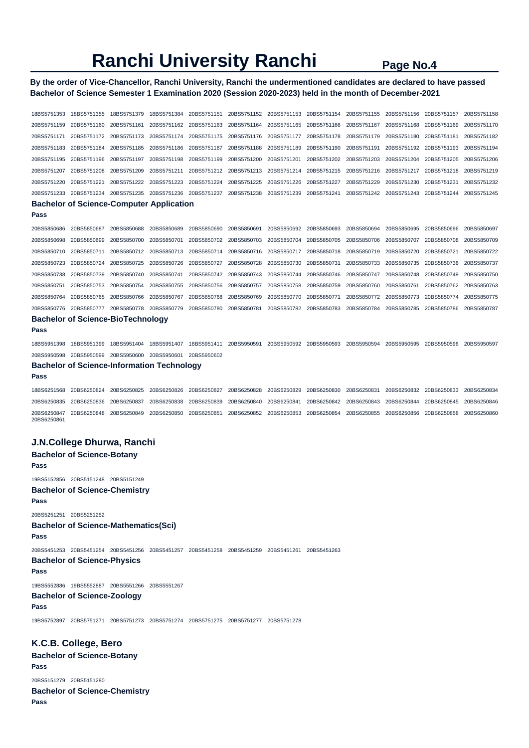# **By the order of Vice-Chancellor, Ranchi University, Ranchi the undermentioned candidates are declared to have passed Bachelor of Science Semester 1 Examination 2020 (Session 2020-2023) held in the month of December-2021**

| 18BS5751353                                       | 18BS5751355             | 18BS5751379 | 18BS5751384 | 20BS5751151             |             | 20BS5751152 20BS5751153 | 20BS5751154             | 20BS5751155 | 20BS5751156 | 20BS5751157 | 20BS5751158 |  |
|---------------------------------------------------|-------------------------|-------------|-------------|-------------------------|-------------|-------------------------|-------------------------|-------------|-------------|-------------|-------------|--|
| 20BS5751159                                       | 20BS5751160             | 20BS5751161 | 20BS5751162 | 20BS5751163             | 20BS5751164 | 20BS5751165             | 20BS5751166             | 20BS5751167 | 20BS5751168 | 20BS5751169 | 20BS5751170 |  |
| 20BS5751171                                       | 20BS5751172             | 20BS5751173 | 20BS5751174 | 20BS5751175             | 20BS5751176 | 20BS5751177             | 20BS5751178             | 20BS5751179 | 20BS5751180 | 20BS5751181 | 20BS5751182 |  |
| 20BS5751183                                       | 20BS5751184             | 20BS5751185 | 20BS5751186 | 20BS5751187             | 20BS5751188 | 20BS5751189             | 20BS5751190             | 20BS5751191 | 20BS5751192 | 20BS5751193 | 20BS5751194 |  |
| 20BS5751195                                       | 20BS5751196             | 20BS5751197 | 20BS5751198 | 20BS5751199             | 20BS5751200 | 20BS5751201             | 20BS5751202             | 20BS5751203 | 20BS5751204 | 20BS5751205 | 20BS5751206 |  |
| 20BS5751207                                       | 20BS5751208             | 20BS5751209 | 20BS5751211 | 20BS5751212             | 20BS5751213 | 20BS5751214             | 20BS5751215             | 20BS5751216 | 20BS5751217 | 20BS5751218 | 20BS5751219 |  |
| 20BS5751220                                       | 20BS5751221             | 20BS5751222 | 20BS5751223 | 20BS5751224             | 20BS5751225 | 20BS5751226             | 20BS5751227             | 20BS5751229 | 20BS5751230 | 20BS5751231 | 20BS5751232 |  |
| 20BS5751233                                       | 20BS5751234             | 20BS5751235 |             | 20BS5751236 20BS5751237 | 20BS5751238 |                         | 20BS5751239 20BS5751241 | 20BS5751242 | 20BS5751243 | 20BS5751244 | 20BS5751245 |  |
| <b>Bachelor of Science-Computer Application</b>   |                         |             |             |                         |             |                         |                         |             |             |             |             |  |
| Pass                                              |                         |             |             |                         |             |                         |                         |             |             |             |             |  |
| 20BS5850686                                       | 20BS5850687             | 20BS5850688 | 20BS5850689 | 20BS5850690             | 20BS5850691 | 20BS5850692             | 20BS5850693             | 20BS5850694 | 20BS5850695 | 20BS5850696 | 20BS5850697 |  |
| 20BS5850698                                       | 20BS5850699             | 20BS5850700 | 20BS5850701 | 20BS5850702             | 20BS5850703 | 20BS5850704             | 20BS5850705             | 20BS5850706 | 20BS5850707 | 20BS5850708 | 20BS5850709 |  |
| 20BS5850710                                       | 20BS5850711             | 20BS5850712 | 20BS5850713 | 20BS5850714             | 20BS5850716 | 20BS5850717             | 20BS5850718             | 20BS5850719 | 20BS5850720 | 20BS5850721 | 20BS5850722 |  |
| 20BS5850723                                       | 20BS5850724             | 20BS5850725 | 20BS5850726 | 20BS5850727             | 20BS5850728 | 20BS5850730             | 20BS5850731             | 20BS5850733 | 20BS5850735 | 20BS5850736 | 20BS5850737 |  |
| 20BS5850738                                       | 20BS5850739             | 20BS5850740 | 20BS5850741 | 20BS5850742             | 20BS5850743 | 20BS5850744             | 20BS5850746             | 20BS5850747 | 20BS5850748 | 20BS5850749 | 20BS5850750 |  |
| 20BS5850751                                       | 20BS5850753             | 20BS5850754 | 20BS5850755 | 20BS5850756             | 20BS5850757 | 20BS5850758             | 20BS5850759             | 20BS5850760 | 20BS5850761 | 20BS5850762 | 20BS5850763 |  |
| 20BS5850764                                       | 20BS5850765             | 20BS5850766 | 20BS5850767 | 20BS5850768             | 20BS5850769 | 20BS5850770             | 20BS5850771             | 20BS5850772 | 20BS5850773 | 20BS5850774 | 20BS5850775 |  |
| 20BS5850776                                       | 20BS5850777             | 20BS5850778 | 20BS5850779 | 20BS5850780             | 20BS5850781 | 20BS5850782             | 20BS5850783             | 20BS5850784 | 20BS5850785 | 20BS5850786 | 20BS5850787 |  |
| <b>Bachelor of Science-BioTechnology</b>          |                         |             |             |                         |             |                         |                         |             |             |             |             |  |
| Pass                                              |                         |             |             |                         |             |                         |                         |             |             |             |             |  |
| 18BS5951398                                       | 18BS5951399             | 18BS5951404 | 18BS5951407 | 18BS5951411             | 20BS5950591 |                         | 20BS5950592 20BS5950593 | 20BS5950594 | 20BS5950595 | 20BS5950596 | 20BS5950597 |  |
| 20BS5950598                                       | 20BS5950599 20BS5950600 |             | 20BS5950601 | 20BS5950602             |             |                         |                         |             |             |             |             |  |
| <b>Bachelor of Science-Information Technology</b> |                         |             |             |                         |             |                         |                         |             |             |             |             |  |
| Pass                                              |                         |             |             |                         |             |                         |                         |             |             |             |             |  |
| 18BS6251568                                       | 20BS6250824             | 20BS6250825 | 20BS6250826 | 20BS6250827             | 20BS6250828 | 20BS6250829             | 20BS6250830             | 20BS6250831 | 20BS6250832 | 20BS6250833 | 20BS6250834 |  |
| 20BS6250835                                       | 20BS6250836             | 20BS6250837 | 20BS6250838 | 20BS6250839             | 20BS6250840 | 20BS6250841             | 20BS6250842             | 20BS6250843 | 20BS6250844 | 20BS6250845 | 20BS6250846 |  |
| 20BS6250847<br>20BS6250861                        | 20BS6250848             | 20BS6250849 | 20BS6250850 | 20BS6250851             |             | 20BS6250852 20BS6250853 | 20BS6250854             | 20BS6250855 | 20BS6250856 | 20BS6250858 | 20BS6250860 |  |

# **J.N.College Dhurwa, Ranchi**

# **Bachelor of Science-Botany Pass**

19BS5152856 20BS5151248 20BS5151249

## **Bachelor of Science-Chemistry Pass**

20BS5251251 20BS5251252

# **Bachelor of Science-Mathematics(Sci)**

**Pass** 

20BS5451253 20BS5451254 20BS5451256 20BS5451257 20BS5451258 20BS5451259 20BS5451261 20BS5451263

### **Bachelor of Science-Physics Pass**

19BS5552886 19BS5552887 20BS5551266 20BS5551267

# **Bachelor of Science-Zoology**

**Pass** 

19BS5752897 20BS5751271 20BS5751273 20BS5751274 20BS5751275 20BS5751277 20BS5751278

# **K.C.B. College, Bero**

**Bachelor of Science-Botany Pass**  20BS5151279 20BS5151280

**Bachelor of Science-Chemistry Pass**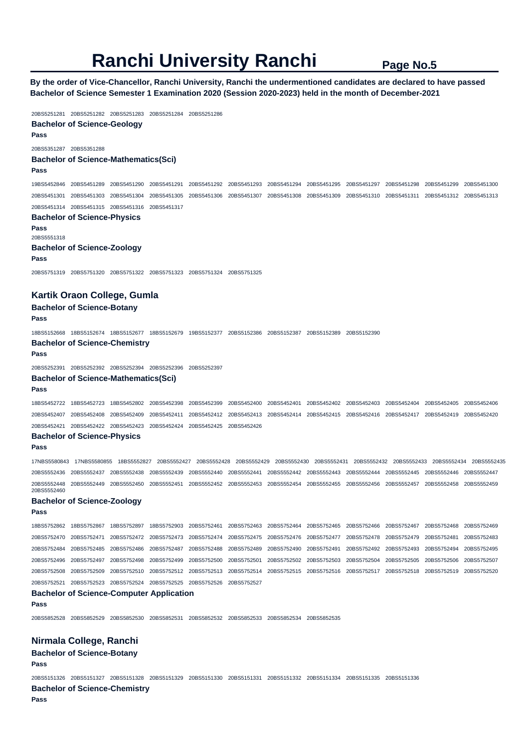**By the order of Vice-Chancellor, Ranchi University, Ranchi the undermentioned candidates are declared to have passed Bachelor of Science Semester 1 Examination 2020 (Session 2020-2023) held in the month of December-2021** 

20BS5251281 20BS5251282 20BS5251283 20BS5251284 20BS5251286 **Bachelor of Science-Geology Pass**  20BS5351287 20BS5351288 **Bachelor of Science-Mathematics(Sci) Pass**  19BS5452846 20BS5451289 20BS5451290 20BS5451291 20BS5451292 20BS5451293 20BS5451294 20BS5451295 20BS5451297 20BS5451298 20BS5451299 20BS5451300 20BS5451301 20BS5451303 20BS5451304 20BS5451305 20BS5451306 20BS5451307 20BS5451308 20BS5451309 20BS5451310 20BS5451311 20BS5451312 20BS5451313 20BS5451314 20BS5451315 20BS5451316 20BS5451317 **Bachelor of Science-Physics Pass**  20BS5551318 **Bachelor of Science-Zoology Pass**  20BS5751319 20BS5751320 20BS5751322 20BS5751323 20BS5751324 20BS5751325 **Kartik Oraon College, Gumla Bachelor of Science-Botany Pass**  18BS5152668 18BS5152674 18BS5152677 18BS5152679 19BS5152377 20BS5152386 20BS5152387 20BS5152389 20BS5152390 **Bachelor of Science-Chemistry Pass**  20BS5252391 20BS5252392 20BS5252394 20BS5252396 20BS5252397 **Bachelor of Science-Mathematics(Sci) Pass**  18BS5452722 18BS5452723 18BS5452802 20BS5452398 20BS5452399 20BS5452400 20BS5452401 20BS5452402 20BS5452403 20BS5452404 20BS5452405 20BS5452406 20BS5452407 20BS5452408 20BS5452409 20BS5452411 20BS5452412 20BS5452413 20BS5452414 20BS5452415 20BS5452416 20BS5452417 20BS5452419 20BS5452420 20BS5452421 20BS5452422 20BS5452423 20BS5452424 20BS5452425 20BS5452426 **Bachelor of Science-Physics Pass**  17NBS5580843 17NBS5580855 18BS5552827 20BS5552427 20BS5552428 20BS5552429 20BS5552430 20BS5552431 20BS5552432 20BS5552433 20BS5552434 20BS5552435 20BS5552436 20BS5552437 20BS5552438 20BS5552439 20BS5552440 20BS5552441 20BS5552442 20BS5552443 20BS5552444 20BS5552445 20BS5552446 20BS5552447 20BS5552448 20BS5552449 20BS5552450 20BS5552451 20BS5552452 20BS5552453 20BS5552454 20BS5552455 20BS5552456 20BS5552457 20BS5552458 20BS5552459 20BS5552460 **Bachelor of Science-Zoology Pass**  18BS5752862 18BS5752867 18BS5752897 18BS5752903 20BS5752461 20BS5752463 20BS5752464 20BS5752465 20BS5752466 20BS5752467 20BS5752468 20BS5752469 20BS5752470 20BS5752471 20BS5752472 20BS5752473 20BS5752474 20BS5752475 20BS5752476 20BS5752477 20BS5752478 20BS5752479 20BS5752481 20BS5752483 20BS5752484 20BS5752485 20BS5752486 20BS5752487 20BS5752488 20BS5752489 20BS5752490 20BS5752491 20BS5752492 20BS5752493 20BS5752494 20BS5752495 20BS5752496 20BS5752497 20BS5752498 20BS5752499 20BS5752500 20BS5752501 20BS5752502 20BS5752503 20BS5752504 20BS5752505 20BS5752506 20BS5752507 20BS5752508 20BS5752509 20BS5752510 20BS5752512 20BS5752513 20BS5752514 20BS5752515 20BS5752516 20BS5752517 20BS5752518 20BS5752519 20BS5752520 20BS5752521 20BS5752523 20BS5752524 20BS5752525 20BS5752526 20BS5752527 **Bachelor of Science-Computer Application Pass**  20BS5852528 20BS5852529 20BS5852530 20BS5852531 20BS5852532 20BS5852533 20BS5852534 20BS5852535 **Nirmala College, Ranchi Bachelor of Science-Botany Pass**  20BS5151326 20BS5151327 20BS5151328 20BS5151329 20BS5151330 20BS5151331 20BS5151332 20BS5151334 20BS5151335 20BS5151336 **Bachelor of Science-Chemistry Pass**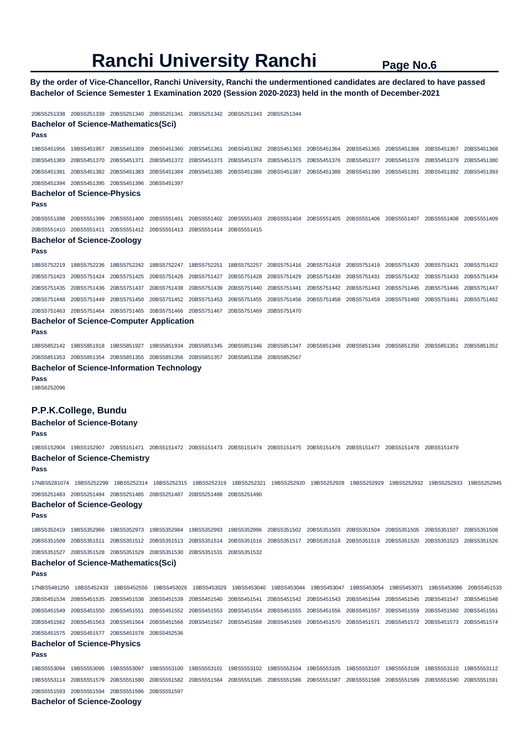**By the order of Vice-Chancellor, Ranchi University, Ranchi the undermentioned candidates are declared to have passed Bachelor of Science Semester 1 Examination 2020 (Session 2020-2023) held in the month of December-2021** 

### 20BS5251338 20BS5251339 20BS5251340 20BS5251341 20BS5251342 20BS5251343 20BS5251344

**Bachelor of Science-Mathematics(Sci)** 

**Pass** 

19BS5451956 19BS5451957 20BS5451359 20BS5451360 20BS5451361 20BS5451362 20BS5451363 20BS5451364 20BS5451365 20BS5451366 20BS5451367 20BS5451368 20BS5451369 20BS5451370 20BS5451371 20BS5451372 20BS5451373 20BS5451374 20BS5451375 20BS5451376 20BS5451377 20BS5451378 20BS5451379 20BS5451380 20BS5451381 20BS5451382 20BS5451383 20BS5451384 20BS5451385 20BS5451386 20BS5451387 20BS5451388 20BS5451390 20BS5451391 20BS5451392 20BS5451393 20BS5451394 20BS5451395 20BS5451396 20BS5451397

# **Bachelor of Science-Physics**

**Pass** 

20BS5551398 20BS5551399 20BS5551400 20BS5551401 20BS5551402 20BS5551403 20BS5551404 20BS5551405 20BS5551406 20BS5551407 20BS5551408 20BS5551409 20BS5551410 20BS5551411 20BS5551412 20BS5551413 20BS5551414 20BS5551415

# **Bachelor of Science-Zoology**

**Pass** 

18BS5752219 18BS5752236 18BS5752242 18BS5752247 18BS5752251 18BS5752257 20BS5751416 20BS5751418 20BS5751419 20BS5751420 20BS5751421 20BS5751422 20BS5751423 20BS5751424 20BS5751425 20BS5751426 20BS5751427 20BS5751428 20BS5751429 20BS5751430 20BS5751431 20BS5751432 20BS5751433 20BS5751434 20BS5751435 20BS5751436 20BS5751437 20BS5751438 20BS5751439 20BS5751440 20BS5751441 20BS5751442 20BS5751443 20BS5751445 20BS5751446 20BS5751447 20BS5751448 20BS5751449 20BS5751450 20BS5751452 20BS5751453 20BS5751455 20BS5751456 20BS5751458 20BS5751459 20BS5751460 20BS5751461 20BS5751462 20BS5751463 20BS5751464 20BS5751465 20BS5751466 20BS5751467 20BS5751469 20BS5751470

## **Bachelor of Science-Computer Application**

**Pass** 

18BS5852142 19BS5851918 19BS5851927 19BS5851934 20BS5851345 20BS5851346 20BS5851347 20BS5851348 20BS5851349 20BS5851350 20BS5851351 20BS5851352 20BS5851353 20BS5851354 20BS5851355 20BS5851356 20BS5851357 20BS5851358 20BS5852567

### **Bachelor of Science-Information Technology**

**Pass** 

19BS6252096

### **P.P.K.College, Bundu**

## **Bachelor of Science-Botany**

#### **Pass**

19BS5152904 19BS5152907 20BS5151471 20BS5151472 20BS5151473 20BS5151474 20BS5151475 20BS5151476 20BS5151477 20BS5151478 20BS5151479 **Bachelor of Science-Chemistry** 

#### **Pass**

17NBS5281074 18BS5252299 18BS5252314 18BS5252315 18BS5252319 18BS5252321 19BS5252920 19BS5252928 19BS5252929 19BS5252932 19BS5252933 19BS5252945 20BS5251483 20BS5251484 20BS5251485 20BS5251487 20BS5251488 20BS5251490

### **Bachelor of Science-Geology**

**Pass** 

18BS5352419 19BS5352966 19BS5352973 19BS5352984 19BS5352993 19BS5352996 20BS5351502 20BS5351503 20BS5351504 20BS5351505 20BS5351507 20BS5351508 20BS5351509 20BS5351511 20BS5351512 20BS5351513 20BS5351514 20BS5351516 20BS5351517 20BS5351518 20BS5351519 20BS5351520 20BS5351523 20BS5351526 20BS5351527 20BS5351528 20BS5351529 20BS5351530 20BS5351531 20BS5351532

## **Bachelor of Science-Mathematics(Sci)**

### **Pass**

17NBS5481250 18BS5452433 18BS5452556 19BS5453026 19BS5453029 19BS5453040 19BS5453044 19BS5453047 19BS5453054 19BS5453071 19BS5453086 20BS5451533 20BS5451534 20BS5451535 20BS5451538 20BS5451539 20BS5451540 20BS5451541 20BS5451542 20BS5451543 20BS5451544 20BS5451545 20BS5451547 20BS5451548 20BS5451549 20BS5451550 20BS5451551 20BS5451552 20BS5451553 20BS5451554 20BS5451555 20BS5451556 20BS5451557 20BS5451559 20BS5451560 20BS5451561 20BS5451562 20BS5451563 20BS5451564 20BS5451566 20BS5451567 20BS5451568 20BS5451569 20BS5451570 20BS5451571 20BS5451572 20BS5451573 20BS5451574 20BS5451575 20BS5451577 20BS5451578 20BS5452536

## **Bachelor of Science-Physics**

**Pass** 

19BS5553094 19BS5553095 19BS5553097 19BS5553100 19BS5553101 19BS5553102 19BS5553104 19BS5553105 19BS5553107 19BS5553108 19BS5553110 19BS5553112 19BS5553114 20BS5551579 20BS5551580 20BS5551582 20BS5551584 20BS5551585 20BS5551586 20BS5551587 20BS5551588 20BS5551589 20BS5551590 20BS5551591 20BS5551593 20BS5551594 20BS5551596 20BS5551597

### **Bachelor of Science-Zoology**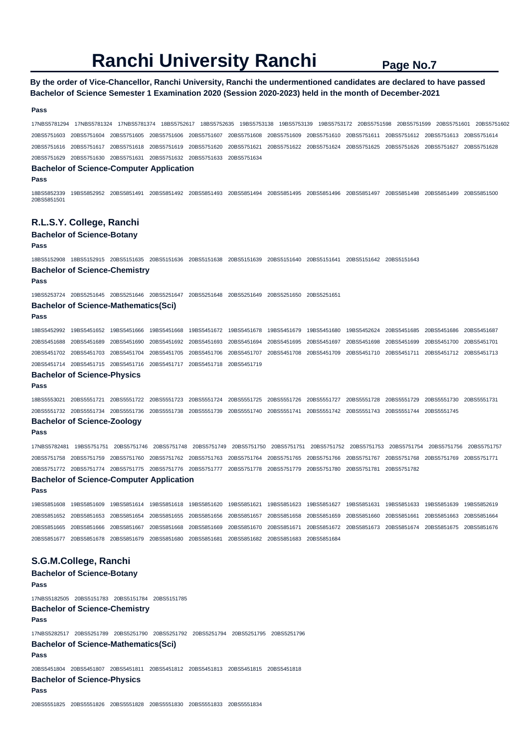# **By the order of Vice-Chancellor, Ranchi University, Ranchi the undermentioned candidates are declared to have passed Bachelor of Science Semester 1 Examination 2020 (Session 2020-2023) held in the month of December-2021**

### **Pass**

17NBS5781294 17NBS5781324 17NBS5781374 18BS5752617 18BS5752635 19BS5753138 19BS5753139 19BS5753172 20BS5751598 20BS5751599 20BS5751601 20BS5751602 20BS5751603 20BS5751604 20BS5751605 20BS5751606 20BS5751607 20BS5751608 20BS5751609 20BS5751610 20BS5751611 20BS5751612 20BS5751613 20BS5751614 20BS5751616 20BS5751617 20BS5751618 20BS5751619 20BS5751620 20BS5751621 20BS5751622 20BS5751624 20BS5751625 20BS5751626 20BS5751627 20BS5751628 20BS5751629 20BS5751630 20BS5751631 20BS5751632 20BS5751633 20BS5751634

### **Bachelor of Science-Computer Application**

**Pass** 

18BS5852339 19BS5852952 20BS5851491 20BS5851492 20BS5851493 20BS5851494 20BS5851495 20BS5851496 20BS5851497 20BS5851498 20BS5851499 20BS5851500 20BS5851501

### **R.L.S.Y. College, Ranchi**

### **Bachelor of Science-Botany**

**Pass** 

18BS5152908 18BS5152915 20BS5151635 20BS5151636 20BS5151638 20BS5151639 20BS5151640 20BS5151641 20BS5151642 20BS5151643 **Bachelor of Science-Chemistry** 

**Pass** 

19BS5253724 20BS5251645 20BS5251646 20BS5251647 20BS5251648 20BS5251649 20BS5251650 20BS5251651

### **Bachelor of Science-Mathematics(Sci)**

**Pass** 

18BS5452992 19BS5451652 19BS5451666 19BS5451668 19BS5451672 19BS5451678 19BS5451679 19BS5451680 19BS5452624 20BS5451685 20BS5451686 20BS5451687 20BS5451688 20BS5451689 20BS5451690 20BS5451692 20BS5451693 20BS5451694 20BS5451695 20BS5451697 20BS5451698 20BS5451699 20BS5451700 20BS5451701 20BS5451702 20BS5451703 20BS5451704 20BS5451705 20BS5451706 20BS5451707 20BS5451708 20BS5451709 20BS5451710 20BS5451711 20BS5451712 20BS5451713 20BS5451714 20BS5451715 20BS5451716 20BS5451717 20BS5451718 20BS5451719

### **Bachelor of Science-Physics**

**Pass** 

18BS5553021 20BS5551721 20BS5551722 20BS5551723 20BS5551724 20BS5551725 20BS5551726 20BS5551727 20BS5551728 20BS5551729 20BS5551730 20BS5551731 20BS5551732 20BS5551734 20BS5551736 20BS5551738 20BS5551739 20BS5551740 20BS5551741 20BS5551742 20BS5551743 20BS5551744 20BS5551745

### **Bachelor of Science-Zoology**

**Pass** 

17NBS5782481 19BS5751751 20BS5751746 20BS5751748 20BS5751749 20BS5751750 20BS5751751 20BS5751752 20BS5751753 20BS5751754 20BS5751756 20BS5751757 20BS5751758 20BS5751759 20BS5751760 20BS5751762 20BS5751763 20BS5751764 20BS5751765 20BS5751766 20BS5751767 20BS5751768 20BS5751769 20BS5751771 20BS5751772 20BS5751774 20BS5751775 20BS5751776 20BS5751777 20BS5751778 20BS5751779 20BS5751780 20BS5751781 20BS5751782

### **Bachelor of Science-Computer Application**

**Pass** 

19BS5851608 19BS5851609 19BS5851614 19BS5851618 19BS5851620 19BS5851621 19BS5851623 19BS5851627 19BS5851631 19BS5851633 19BS5851639 19BS5852619 20BS5851652 20BS5851653 20BS5851654 20BS5851655 20BS5851656 20BS5851657 20BS5851658 20BS5851659 20BS5851660 20BS5851661 20BS5851663 20BS5851664 20BS5851665 20BS5851666 20BS5851667 20BS5851668 20BS5851669 20BS5851670 20BS5851671 20BS5851672 20BS5851673 20BS5851674 20BS5851675 20BS5851676 20BS5851677 20BS5851678 20BS5851679 20BS5851680 20BS5851681 20BS5851682 20BS5851683 20BS5851684

# **S.G.M.College, Ranchi**

**Bachelor of Science-Botany Pass**  17NBS5182505 20BS5151783 20BS5151784 20BS5151785 **Bachelor of Science-Chemistry Pass**  17NBS5282517 20BS5251789 20BS5251790 20BS5251792 20BS5251794 20BS5251795 20BS5251796 **Bachelor of Science-Mathematics(Sci) Pass**  20BS5451804 20BS5451807 20BS5451811 20BS5451812 20BS5451813 20BS5451815 20BS5451818 **Bachelor of Science-Physics** 

#### **Pass**

20BS5551825 20BS5551826 20BS5551828 20BS5551830 20BS5551833 20BS5551834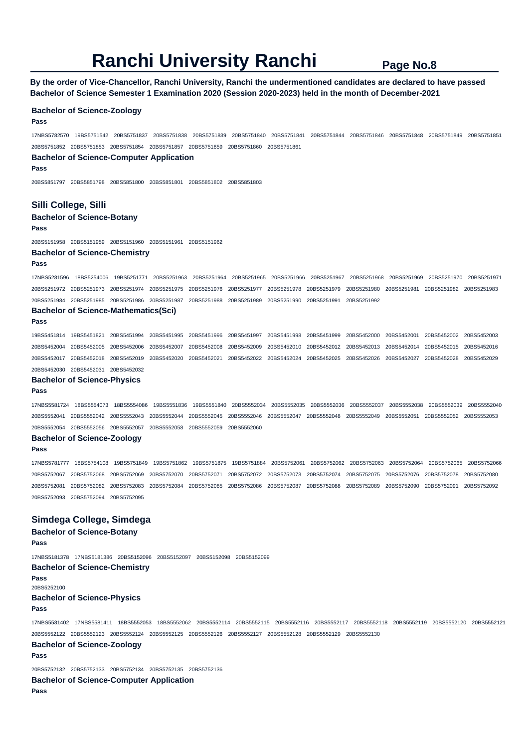**By the order of Vice-Chancellor, Ranchi University, Ranchi the undermentioned candidates are declared to have passed Bachelor of Science Semester 1 Examination 2020 (Session 2020-2023) held in the month of December-2021** 

### **Bachelor of Science-Zoology**

### **Pass**

17NBS5782570 19BS5751542 20BS5751837 20BS5751838 20BS5751839 20BS5751840 20BS5751841 20BS5751844 20BS5751846 20BS5751848 20BS5751849 20BS5751851 20BS5751852 20BS5751853 20BS5751854 20BS5751857 20BS5751859 20BS5751860 20BS5751861

### **Bachelor of Science-Computer Application**

**Pass** 

20BS5851797 20BS5851798 20BS5851800 20BS5851801 20BS5851802 20BS5851803

## **Silli College, Silli**

**Bachelor of Science-Botany** 

### **Pass**

20BS5151958 20BS5151959 20BS5151960 20BS5151961 20BS5151962

## **Bachelor of Science-Chemistry**

#### **Pass**

17NBS5281596 18BS5254006 19BS5251771 20BS5251963 20BS5251964 20BS5251965 20BS5251966 20BS5251967 20BS5251968 20BS5251969 20BS5251970 20BS5251971 20BS5251972 20BS5251973 20BS5251974 20BS5251975 20BS5251976 20BS5251977 20BS5251978 20BS5251979 20BS5251980 20BS5251981 20BS5251982 20BS5251983 20BS5251984 20BS5251985 20BS5251986 20BS5251987 20BS5251988 20BS5251989 20BS5251990 20BS5251991 20BS5251992

# **Bachelor of Science-Mathematics(Sci)**

#### **Pass**

19BS5451814 19BS5451821 20BS5451994 20BS5451995 20BS5451996 20BS5451997 20BS5451998 20BS5451999 20BS5452000 20BS5452001 20BS5452002 20BS5452003 20BS5452004 20BS5452005 20BS5452006 20BS5452007 20BS5452008 20BS5452009 20BS5452010 20BS5452012 20BS5452013 20BS5452014 20BS5452015 20BS5452016 20BS5452017 20BS5452018 20BS5452019 20BS5452020 20BS5452021 20BS5452022 20BS5452024 20BS5452025 20BS5452026 20BS5452027 20BS5452028 20BS5452029 20BS5452030 20BS5452031 20BS5452032

### **Bachelor of Science-Physics**

#### **Pass**

17NBS5581724 18BS5554073 18BS5554086 19BS5551836 19BS5551840 20BS5552034 20BS5552035 20BS5552036 20BS5552037 20BS5552038 20BS5552039 20BS5552040 20BS5552041 20BS5552042 20BS5552043 20BS5552044 20BS5552045 20BS5552046 20BS5552047 20BS5552048 20BS5552049 20BS5552051 20BS5552052 20BS5552053 20BS5552054 20BS5552056 20BS5552057 20BS5552058 20BS5552059 20BS5552060

## **Bachelor of Science-Zoology**

### **Pass**

17NBS5781777 18BS5754108 19BS5751849 19BS5751862 19BS5751875 19BS5751884 20BS5752061 20BS5752062 20BS5752063 20BS5752064 20BS5752065 20BS5752066 20BS5752067 20BS5752068 20BS5752069 20BS5752070 20BS5752071 20BS5752072 20BS5752073 20BS5752074 20BS5752075 20BS5752076 20BS5752078 20BS5752080 20BS5752081 20BS5752082 20BS5752083 20BS5752084 20BS5752085 20BS5752086 20BS5752087 20BS5752088 20BS5752089 20BS5752090 20BS5752091 20BS5752092 20BS5752093 20BS5752094 20BS5752095

## **Simdega College, Simdega**

**Bachelor of Science-Botany Pass**  17NBS5181378 17NBS5181386 20BS5152096 20BS5152097 20BS5152098 20BS5152099 **Bachelor of Science-Chemistry Pass**  20BS5252100 **Bachelor of Science-Physics Pass**  17NBS5581402 17NBS5581411 18BS5552053 18BS5552062 20BS5552114 20BS5552115 20BS5552116 20BS5552117 20BS5552118 20BS5552119 20BS5552120 20BS5552121 20BS5552122 20BS5552123 20BS5552124 20BS5552125 20BS5552126 20BS5552127 20BS5552128 20BS5552129 20BS5552130 **Bachelor of Science-Zoology Pass** 

20BS5752132 20BS5752133 20BS5752134 20BS5752135 20BS5752136

### **Bachelor of Science-Computer Application**

**Pass**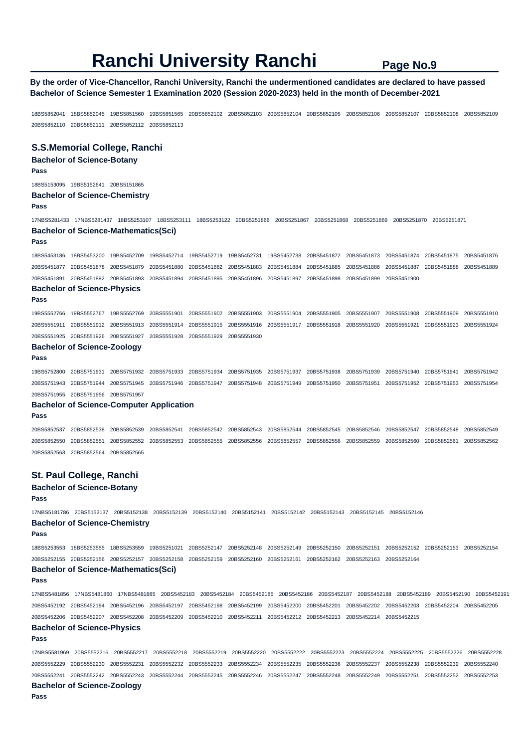## **By the order of Vice-Chancellor, Ranchi University, Ranchi the undermentioned candidates are declared to have passed Bachelor of Science Semester 1 Examination 2020 (Session 2020-2023) held in the month of December-2021**

18BS5852041 18BS5852045 19BS5851560 19BS5851565 20BS5852102 20BS5852103 20BS5852104 20BS5852105 20BS5852106 20BS5852107 20BS5852108 20BS5852109 20BS5852110 20BS5852111 20BS5852112 20BS5852113

## **S.S.Memorial College, Ranchi**

### **Bachelor of Science-Botany Pass**

18BS5153095 19BS5152641 20BS5151865

### **Bachelor of Science-Chemistry**

**Pass** 

17NBS5281433 17NBS5281437 18BS5253107 18BS5253111 18BS5253122 20BS5251866 20BS5251867 20BS5251868 20BS5251869 20BS5251870 20BS5251871 **Bachelor of Science-Mathematics(Sci)** 

### **Pass**

18BS5453186 18BS5453200 19BS5452709 19BS5452714 19BS5452719 19BS5452731 19BS5452738 20BS5451872 20BS5451873 20BS5451874 20BS5451875 20BS5451876 20BS5451877 20BS5451878 20BS5451879 20BS5451880 20BS5451882 20BS5451883 20BS5451884 20BS5451885 20BS5451886 20BS5451887 20BS5451888 20BS5451889 20BS5451891 20BS5451892 20BS5451893 20BS5451894 20BS5451895 20BS5451896 20BS5451897 20BS5451898 20BS5451899 20BS5451900

## **Bachelor of Science-Physics**

**Pass** 

19BS5552766 19BS5552767 19BS5552769 20BS5551901 20BS5551902 20BS5551903 20BS5551904 20BS5551905 20BS5551907 20BS5551908 20BS5551909 20BS5551910 20BS5551911 20BS5551912 20BS5551913 20BS5551914 20BS5551915 20BS5551916 20BS5551917 20BS5551918 20BS5551920 20BS5551921 20BS5551923 20BS5551924 20BS5551925 20BS5551926 20BS5551927 20BS5551928 20BS5551929 20BS5551930

# **Bachelor of Science-Zoology**

**Pass** 

19BS5752800 20BS5751931 20BS5751932 20BS5751933 20BS5751934 20BS5751935 20BS5751937 20BS5751938 20BS5751939 20BS5751940 20BS5751941 20BS5751942 20BS5751943 20BS5751944 20BS5751945 20BS5751946 20BS5751947 20BS5751948 20BS5751949 20BS5751950 20BS5751951 20BS5751952 20BS5751953 20BS5751954 20BS5751955 20BS5751956 20BS5751957

### **Bachelor of Science-Computer Application**

**Pass** 

20BS5852537 20BS5852538 20BS5852539 20BS5852541 20BS5852542 20BS5852543 20BS5852544 20BS5852545 20BS5852546 20BS5852547 20BS5852548 20BS5852549 20BS5852550 20BS5852551 20BS5852552 20BS5852553 20BS5852555 20BS5852556 20BS5852557 20BS5852558 20BS5852559 20BS5852560 20BS5852561 20BS5852562 20BS5852563 20BS5852564 20BS5852565

## **St. Paul College, Ranchi**

## **Bachelor of Science-Botany**

**Pass** 

17NBS5181786 20BS5152137 20BS5152138 20BS5152139 20BS5152140 20BS5152141 20BS5152142 20BS5152143 20BS5152145 20BS5152146 **Bachelor of Science-Chemistry** 

### **Pass**

18BS5253553 18BS5253555 18BS5253559 19BS5251021 20BS5252147 20BS5252148 20BS5252149 20BS5252150 20BS5252151 20BS5252152 20BS5252153 20BS5252154 20BS5252155 20BS5252156 20BS5252157 20BS5252158 20BS5252159 20BS5252160 20BS5252161 20BS5252162 20BS5252163 20BS5252164

# **Bachelor of Science-Mathematics(Sci)**

**Pass** 

17NBS5481856 17NBS5481860 17NBS5481885 20BS5452183 20BS5452184 20BS5452185 20BS5452186 20BS5452187 20BS5452188 20BS5452189 20BS5452190 20BS5452191 20BS5452192 20BS5452194 20BS5452196 20BS5452197 20BS5452198 20BS5452199 20BS5452200 20BS5452201 20BS5452202 20BS5452203 20BS5452204 20BS5452205 20BS5452206 20BS5452207 20BS5452208 20BS5452209 20BS5452210 20BS5452211 20BS5452212 20BS5452213 20BS5452214 20BS5452215 **Bachelor of Science-Physics** 

#### **Pass**

17NBS5581969 20BS5552216 20BS5552217 20BS5552218 20BS5552219 20BS5552220 20BS5552222 20BS5552223 20BS5552224 20BS5552225 20BS5552226 20BS5552228 20BS5552229 20BS5552230 20BS5552231 20BS5552232 20BS5552233 20BS5552234 20BS5552235 20BS5552236 20BS5552237 20BS5552238 20BS5552239 20BS5552240 20BS5552241 20BS5552242 20BS5552243 20BS5552244 20BS5552245 20BS5552246 20BS5552247 20BS5552248 20BS5552249 20BS5552251 20BS5552252 20BS5552253 **Bachelor of Science-Zoology** 

**Pass**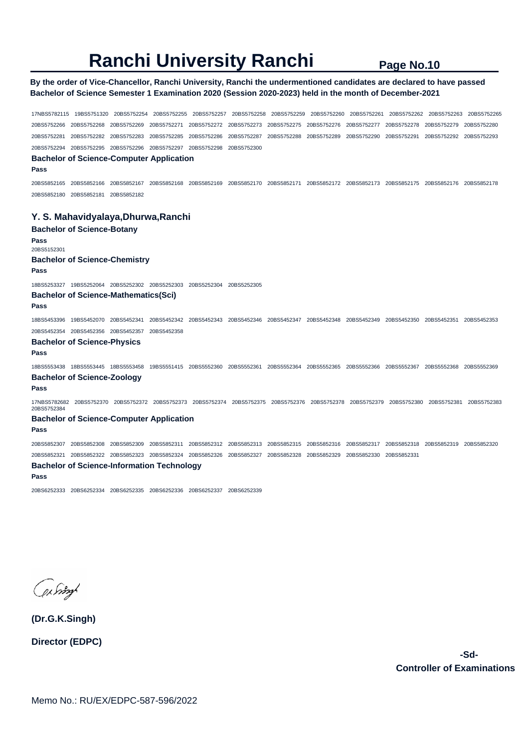# **By the order of Vice-Chancellor, Ranchi University, Ranchi the undermentioned candidates are declared to have passed Bachelor of Science Semester 1 Examination 2020 (Session 2020-2023) held in the month of December-2021**

17NBS5782115 19BS5751320 20BS5752254 20BS5752255 20BS5752257 20BS5752258 20BS5752259 20BS5752260 20BS5752261 20BS5752262 20BS5752263 20BS5752265 20BS5752266 20BS5752268 20BS5752269 20BS5752271 20BS5752272 20BS5752273 20BS5752275 20BS5752276 20BS5752277 20BS5752278 20BS5752279 20BS5752280 20BS5752281 20BS5752282 20BS5752283 20BS5752285 20BS5752286 20BS5752287 20BS5752288 20BS5752289 20BS5752290 20BS5752291 20BS5752292 20BS5752293 20BS5752294 20BS5752295 20BS5752296 20BS5752297 20BS5752298 20BS5752300 **Bachelor of Science-Computer Application Pass**  20BS5852165 20BS5852166 20BS5852167 20BS5852168 20BS5852169 20BS5852170 20BS5852171 20BS5852172 20BS5852173 20BS5852175 20BS5852176 20BS5852178 20BS5852180 20BS5852181 20BS5852182 **Y. S. Mahavidyalaya,Dhurwa,Ranchi Bachelor of Science-Botany Pass**  20BS5152301 **Bachelor of Science-Chemistry Pass**  18BS5253327 19BS5252064 20BS5252302 20BS5252303 20BS5252304 20BS5252305 **Bachelor of Science-Mathematics(Sci) Pass**  18BS5453396 19BS5452070 20BS5452341 20BS5452342 20BS5452343 20BS5452346 20BS5452347 20BS5452348 20BS5452349 20BS5452350 20BS5452351 20BS5452353 20BS5452354 20BS5452356 20BS5452357 20BS5452358 **Bachelor of Science-Physics Pass**  18BS5553438 18BS5553445 18BS5553458 19BS5551415 20BS5552360 20BS5552361 20BS5552364 20BS5552365 20BS5552366 20BS5552367 20BS5552368 20BS5552369 **Bachelor of Science-Zoology Pass**  17NBS5782682 20BS5752370 20BS5752372 20BS5752373 20BS5752374 20BS5752375 20BS5752376 20BS5752378 20BS5752379 20BS5752380 20BS5752381 20BS5752383 20BS5752384 **Bachelor of Science-Computer Application Pass**  20BS5852307 20BS5852308 20BS5852309 20BS5852311 20BS5852312 20BS5852313 20BS5852315 20BS5852316 20BS5852317 20BS5852318 20BS5852319 20BS5852320 20BS5852321 20BS5852322 20BS5852323 20BS5852324 20BS5852326 20BS5852327 20BS5852328 20BS5852329 20BS5852330 20BS5852331 **Bachelor of Science-Information Technology Pass**  20BS6252333 20BS6252334 20BS6252335 20BS6252336 20BS6252337 20BS6252339

phoney

**(Dr.G.K.Singh)**

**Director (EDPC)**

 **-Sd-Controller of Examinations**